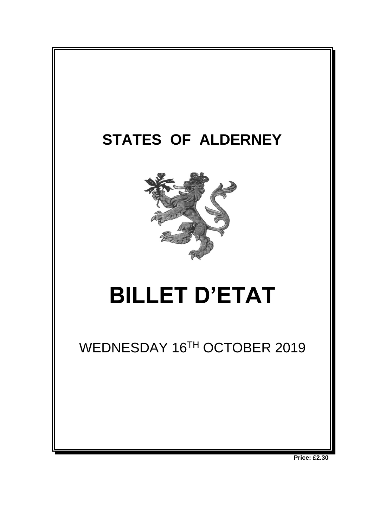

**Price: £2.30**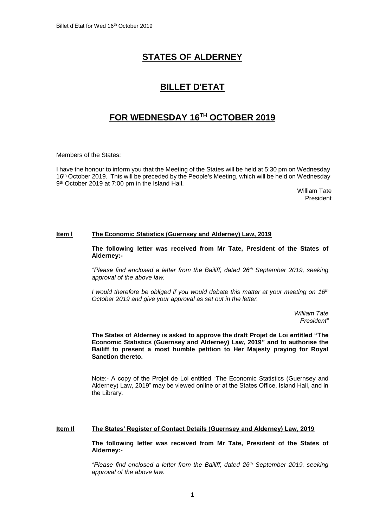# **STATES OF ALDERNEY**

# **BILLET D'ETAT**

# **FOR WEDNESDAY 16 TH OCTOBER 2019**

Members of the States:

I have the honour to inform you that the Meeting of the States will be held at 5:30 pm on Wednesday 16<sup>th</sup> October 2019. This will be preceded by the People's Meeting, which will be held on Wednesday 9 th October 2019 at 7:00 pm in the Island Hall.

> William Tate President

### **Item l The Economic Statistics (Guernsey and Alderney) Law, 2019**

**The following letter was received from Mr Tate, President of the States of Alderney:-**

*"Please find enclosed a letter from the Bailiff, dated 26th September 2019, seeking approval of the above law.*

*I would therefore be obliged if you would debate this matter at your meeting on 16th October 2019 and give your approval as set out in the letter.*

> *William Tate President"*

**The States of Alderney is asked to approve the draft Projet de Loi entitled "The Economic Statistics (Guernsey and Alderney) Law, 2019" and to authorise the Bailiff to present a most humble petition to Her Majesty praying for Royal Sanction thereto.**

Note:- A copy of the Projet de Loi entitled "The Economic Statistics (Guernsey and Alderney) Law, 2019" may be viewed online or at the States Office, Island Hall, and in the Library.

## **Item Il The States' Register of Contact Details (Guernsey and Alderney) Law, 2019**

**The following letter was received from Mr Tate, President of the States of Alderney:-**

*"Please find enclosed a letter from the Bailiff, dated 26th September 2019, seeking approval of the above law.*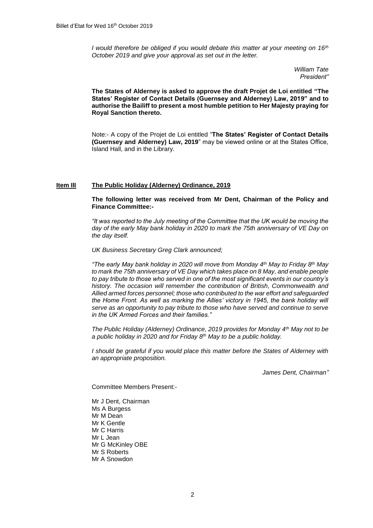*I would therefore be obliged if you would debate this matter at your meeting on 16th October 2019 and give your approval as set out in the letter.*

> *William Tate President"*

**The States of Alderney is asked to approve the draft Projet de Loi entitled "The States' Register of Contact Details (Guernsey and Alderney) Law, 2019" and to authorise the Bailiff to present a most humble petition to Her Majesty praying for Royal Sanction thereto.**

Note:- A copy of the Projet de Loi entitled "**The States' Register of Contact Details (Guernsey and Alderney) Law, 2019**" may be viewed online or at the States Office, Island Hall, and in the Library.

#### **Item IlI The Public Holiday (Alderney) Ordinance, 2019**

#### **The following letter was received from Mr Dent, Chairman of the Policy and Finance Committee:-**

*"It was reported to the July meeting of the Committee that the UK would be moving the day of the early May bank holiday in 2020 to mark the 75th anniversary of VE Day on the day itself.*

*UK Business Secretary Greg Clark announced;*

*"The early May bank holiday in 2020 will move from Monday 4th May to Friday 8th May to mark the 75th anniversary of VE Day which takes place on 8 May, and enable people to pay tribute to those who served in one of the most significant events in our country's history. The occasion will remember the contribution of British, Commonwealth and Allied armed forces personnel; those who contributed to the war effort and safeguarded the Home Front. As well as marking the Allies' victory in 1945, the bank holiday will serve as an opportunity to pay tribute to those who have served and continue to serve in the UK Armed Forces and their families."*

*The Public Holiday (Alderney) Ordinance, 2019 provides for Monday 4th May not to be a public holiday in 2020 and for Friday 8th May to be a public holiday.*

*I should be grateful if you would place this matter before the States of Alderney with an appropriate proposition.*

*James Dent, Chairman"*

Committee Members Present:-

Mr J Dent, Chairman Ms A Burgess Mr M Dean Mr K Gentle Mr C Harris Mr L Jean Mr G McKinley OBE Mr S Roberts Mr A Snowdon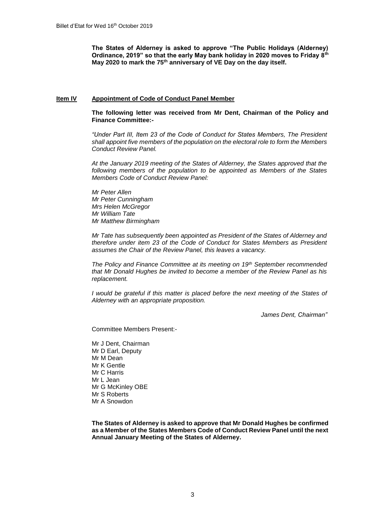**The States of Alderney is asked to approve "The Public Holidays (Alderney) Ordinance, 2019" so that the early May bank holiday in 2020 moves to Friday 8th May 2020 to mark the 75th anniversary of VE Day on the day itself.**

#### **Item IV Appointment of Code of Conduct Panel Member**

**The following letter was received from Mr Dent, Chairman of the Policy and Finance Committee:-**

*"Under Part III, Item 23 of the Code of Conduct for States Members, The President shall appoint five members of the population on the electoral role to form the Members Conduct Review Panel.* 

*At the January 2019 meeting of the States of Alderney, the States approved that the following members of the population to be appointed as Members of the States Members Code of Conduct Review Panel:*

*Mr Peter Allen Mr Peter Cunningham Mrs Helen McGregor Mr William Tate Mr Matthew Birmingham*

*Mr Tate has subsequently been appointed as President of the States of Alderney and therefore under item 23 of the Code of Conduct for States Members as President assumes the Chair of the Review Panel, this leaves a vacancy.*

*The Policy and Finance Committee at its meeting on 19th September recommended that Mr Donald Hughes be invited to become a member of the Review Panel as his replacement.*

*I* would be grateful if this matter is placed before the next meeting of the States of *Alderney with an appropriate proposition.*

*James Dent, Chairman"*

Committee Members Present:-

Mr J Dent, Chairman Mr D Earl, Deputy Mr M Dean Mr K Gentle Mr C Harris Mr L Jean Mr G McKinley OBE Mr S Roberts Mr A Snowdon

**The States of Alderney is asked to approve that Mr Donald Hughes be confirmed as a Member of the States Members Code of Conduct Review Panel until the next Annual January Meeting of the States of Alderney.**